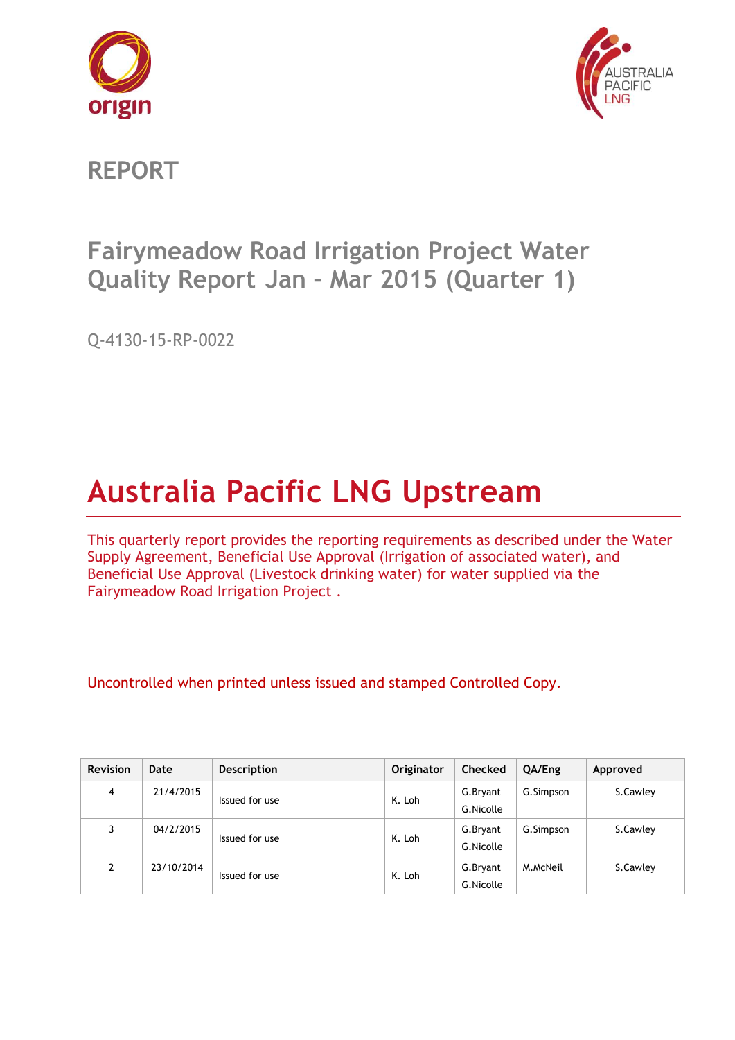



**REPORT**

# **Fairymeadow Road Irrigation Project Water Quality Report Jan – Mar 2015 (Quarter 1)**

Q-4130-15-RP-0022

# **Australia Pacific LNG Upstream**

This quarterly report provides the reporting requirements as described under the Water Supply Agreement, Beneficial Use Approval (Irrigation of associated water), and Beneficial Use Approval (Livestock drinking water) for water supplied via the Fairymeadow Road Irrigation Project .

Uncontrolled when printed unless issued and stamped Controlled Copy.

| <b>Revision</b> | Date       | <b>Description</b> | <b>Originator</b> | <b>Checked</b>        | QA/Eng    | Approved |
|-----------------|------------|--------------------|-------------------|-----------------------|-----------|----------|
| $\overline{4}$  | 21/4/2015  | Issued for use     | K. Loh            | G.Bryant<br>G.Nicolle | G.Simpson | S.Cawley |
| 3               | 04/2/2015  | Issued for use     | K. Loh            | G.Bryant<br>G.Nicolle | G.Simpson | S.Cawley |
| $\mathcal{P}$   | 23/10/2014 | Issued for use     | K. Loh            | G.Bryant<br>G.Nicolle | M.McNeil  | S.Cawley |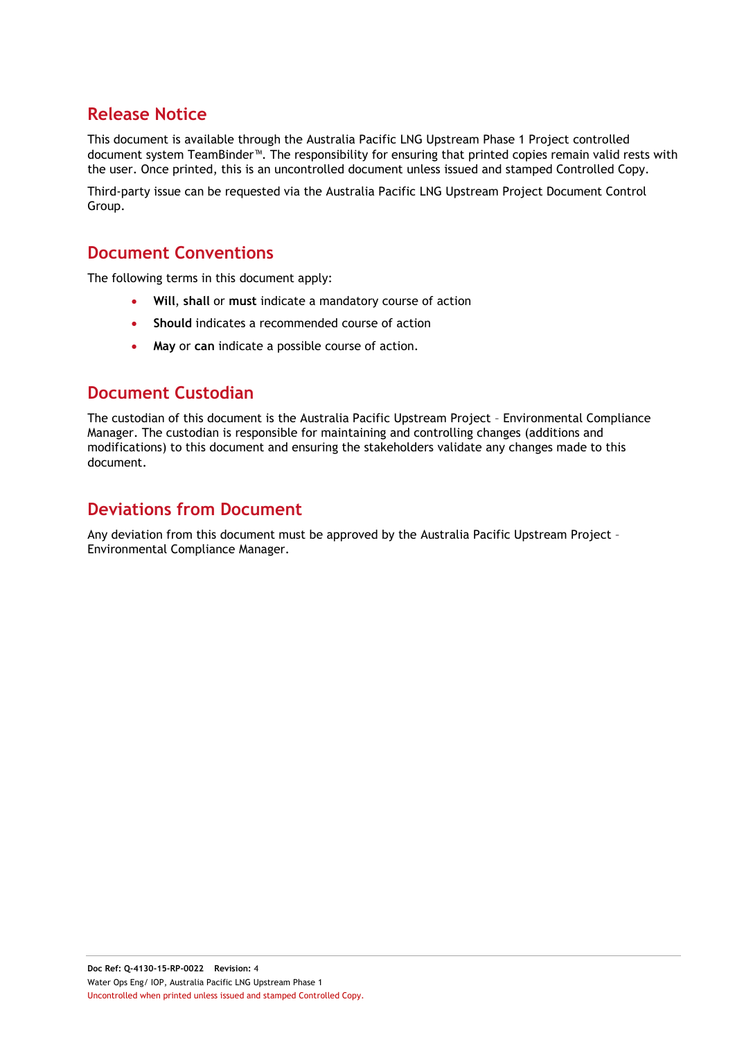# **Release Notice**

This document is available through the Australia Pacific LNG Upstream Phase 1 Project controlled document system TeamBinder™. The responsibility for ensuring that printed copies remain valid rests with the user. Once printed, this is an uncontrolled document unless issued and stamped Controlled Copy.

Third-party issue can be requested via the Australia Pacific LNG Upstream Project Document Control Group.

## **Document Conventions**

The following terms in this document apply:

- **Will**, **shall** or **must** indicate a mandatory course of action
- **Should** indicates a recommended course of action
- **May** or **can** indicate a possible course of action.

## **Document Custodian**

The custodian of this document is the Australia Pacific Upstream Project – Environmental Compliance Manager. The custodian is responsible for maintaining and controlling changes (additions and modifications) to this document and ensuring the stakeholders validate any changes made to this document.

## **Deviations from Document**

Any deviation from this document must be approved by the Australia Pacific Upstream Project – Environmental Compliance Manager.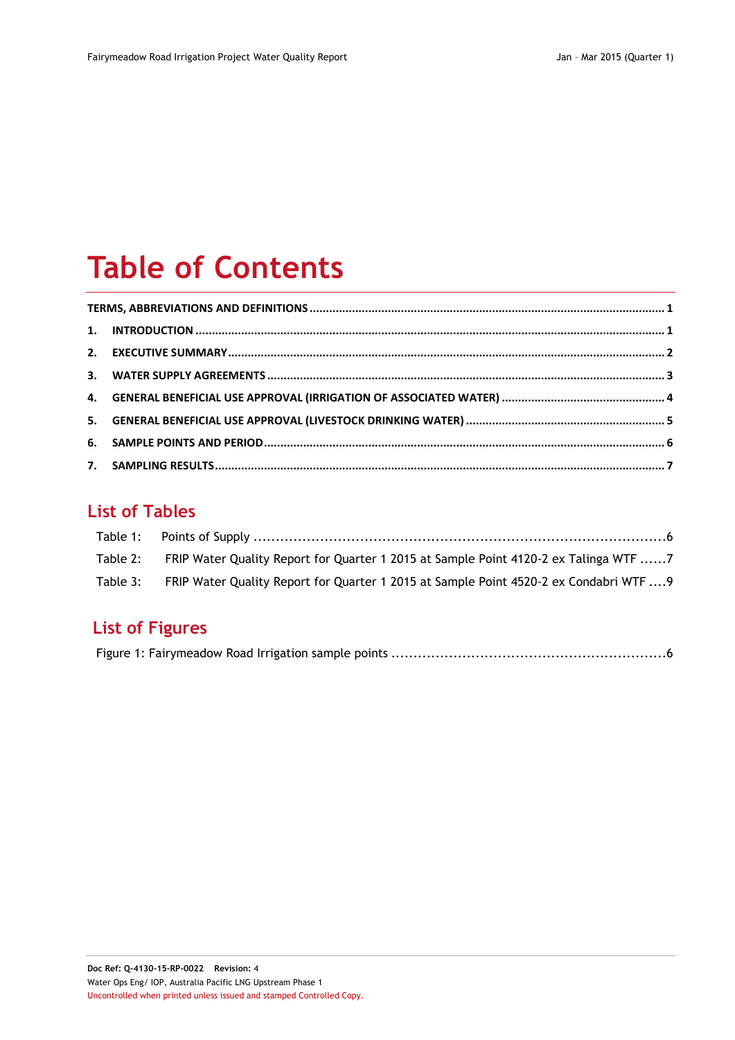# **Table of Contents**

# **List of Tables**

| Table 2: FRIP Water Quality Report for Quarter 1 2015 at Sample Point 4120-2 ex Talinga WTF 7   |
|-------------------------------------------------------------------------------------------------|
| Table 3: FRIP Water Quality Report for Quarter 1 2015 at Sample Point 4520-2 ex Condabri WTF  9 |

# **List of Figures**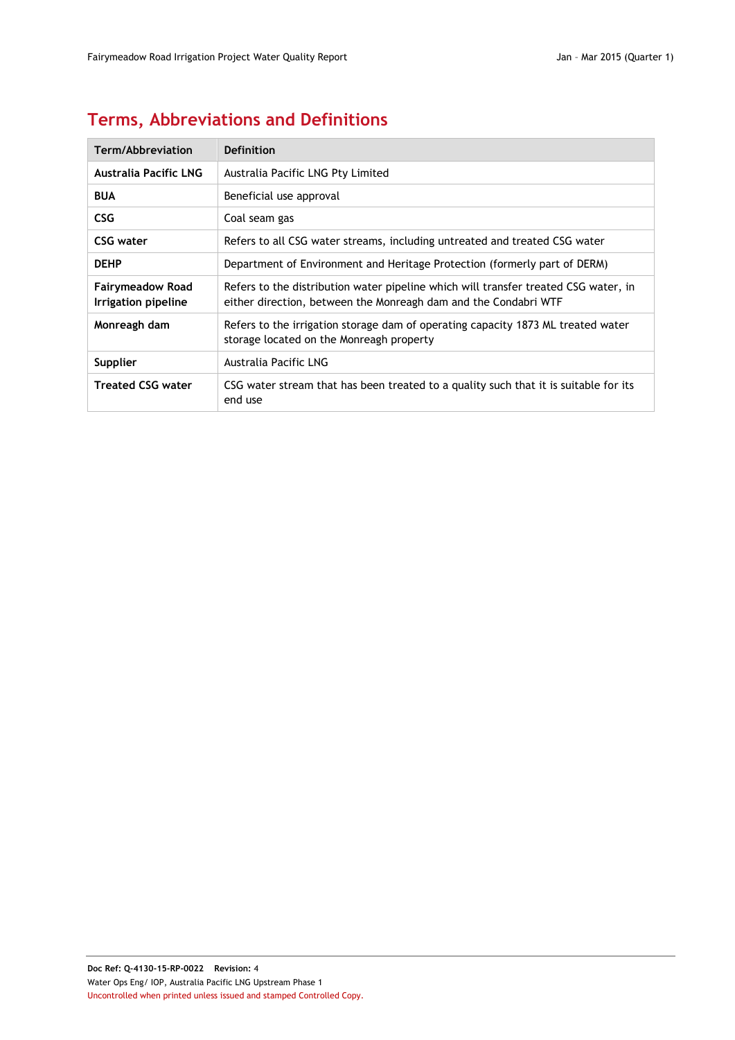# <span id="page-3-0"></span>**Terms, Abbreviations and Definitions**

| Term/Abbreviation                              | Definition                                                                                                                                             |
|------------------------------------------------|--------------------------------------------------------------------------------------------------------------------------------------------------------|
| <b>Australia Pacific LNG</b>                   | Australia Pacific LNG Pty Limited                                                                                                                      |
| <b>BUA</b>                                     | Beneficial use approval                                                                                                                                |
| <b>CSG</b>                                     | Coal seam gas                                                                                                                                          |
| CSG water                                      | Refers to all CSG water streams, including untreated and treated CSG water                                                                             |
| <b>DEHP</b>                                    | Department of Environment and Heritage Protection (formerly part of DERM)                                                                              |
| <b>Fairymeadow Road</b><br>Irrigation pipeline | Refers to the distribution water pipeline which will transfer treated CSG water, in<br>either direction, between the Monreagh dam and the Condabri WTF |
| Monreagh dam                                   | Refers to the irrigation storage dam of operating capacity 1873 ML treated water<br>storage located on the Monreagh property                           |
| Supplier                                       | Australia Pacific LNG                                                                                                                                  |
| <b>Treated CSG water</b>                       | CSG water stream that has been treated to a quality such that it is suitable for its<br>end use                                                        |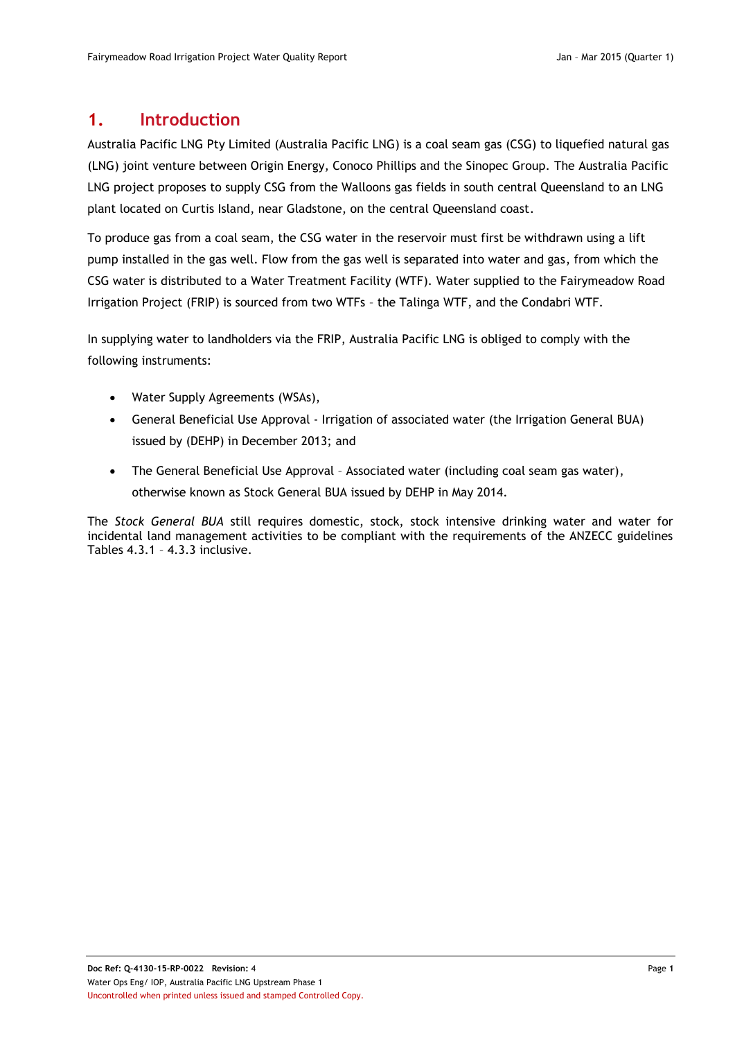### <span id="page-4-0"></span>**1. Introduction**

Australia Pacific LNG Pty Limited (Australia Pacific LNG) is a coal seam gas (CSG) to liquefied natural gas (LNG) joint venture between Origin Energy, Conoco Phillips and the Sinopec Group. The Australia Pacific LNG project proposes to supply CSG from the Walloons gas fields in south central Queensland to an LNG plant located on Curtis Island, near Gladstone, on the central Queensland coast.

To produce gas from a coal seam, the CSG water in the reservoir must first be withdrawn using a lift pump installed in the gas well. Flow from the gas well is separated into water and gas, from which the CSG water is distributed to a Water Treatment Facility (WTF). Water supplied to the Fairymeadow Road Irrigation Project (FRIP) is sourced from two WTFs – the Talinga WTF, and the Condabri WTF.

In supplying water to landholders via the FRIP, Australia Pacific LNG is obliged to comply with the following instruments:

- Water Supply Agreements (WSAs),
- General Beneficial Use Approval Irrigation of associated water (the Irrigation General BUA) issued by (DEHP) in December 2013; and
- The General Beneficial Use Approval Associated water (including coal seam gas water), otherwise known as Stock General BUA issued by DEHP in May 2014.

The *Stock General BUA* still requires domestic, stock, stock intensive drinking water and water for incidental land management activities to be compliant with the requirements of the ANZECC guidelines Tables 4.3.1 – 4.3.3 inclusive.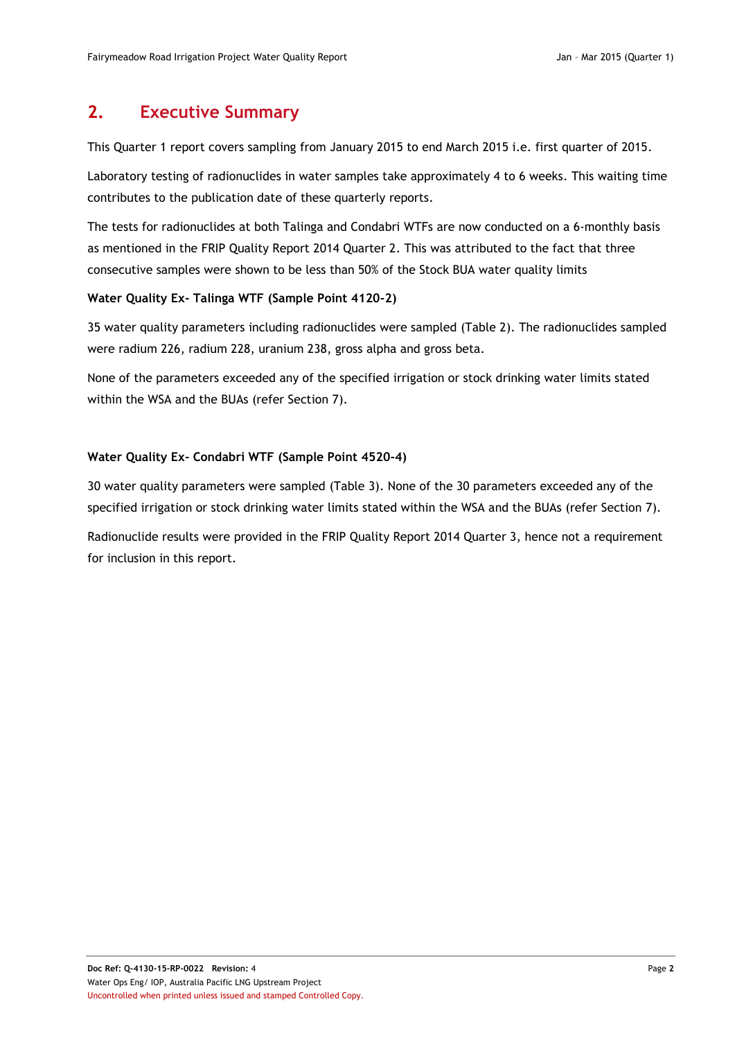## <span id="page-5-0"></span>**2. Executive Summary**

This Quarter 1 report covers sampling from January 2015 to end March 2015 i.e. first quarter of 2015.

Laboratory testing of radionuclides in water samples take approximately 4 to 6 weeks. This waiting time contributes to the publication date of these quarterly reports.

The tests for radionuclides at both Talinga and Condabri WTFs are now conducted on a 6-monthly basis as mentioned in the FRIP Quality Report 2014 Quarter 2. This was attributed to the fact that three consecutive samples were shown to be less than 50% of the Stock BUA water quality limits

#### **Water Quality Ex- Talinga WTF (Sample Point 4120-2)**

35 water quality parameters including radionuclides were sampled [\(Table 2\)](#page-10-1). The radionuclides sampled were radium 226, radium 228, uranium 238, gross alpha and gross beta.

None of the parameters exceeded any of the specified irrigation or stock drinking water limits stated within the WSA and the BUAs (refer Section [7\)](#page-10-0).

#### **Water Quality Ex- Condabri WTF (Sample Point 4520-4)**

30 water quality parameters were sampled [\(Table 3\)](#page-12-0). None of the 30 parameters exceeded any of the specified irrigation or stock drinking water limits stated within the WSA and the BUAs (refer Section [7\)](#page-10-0).

Radionuclide results were provided in the FRIP Quality Report 2014 Quarter 3, hence not a requirement for inclusion in this report.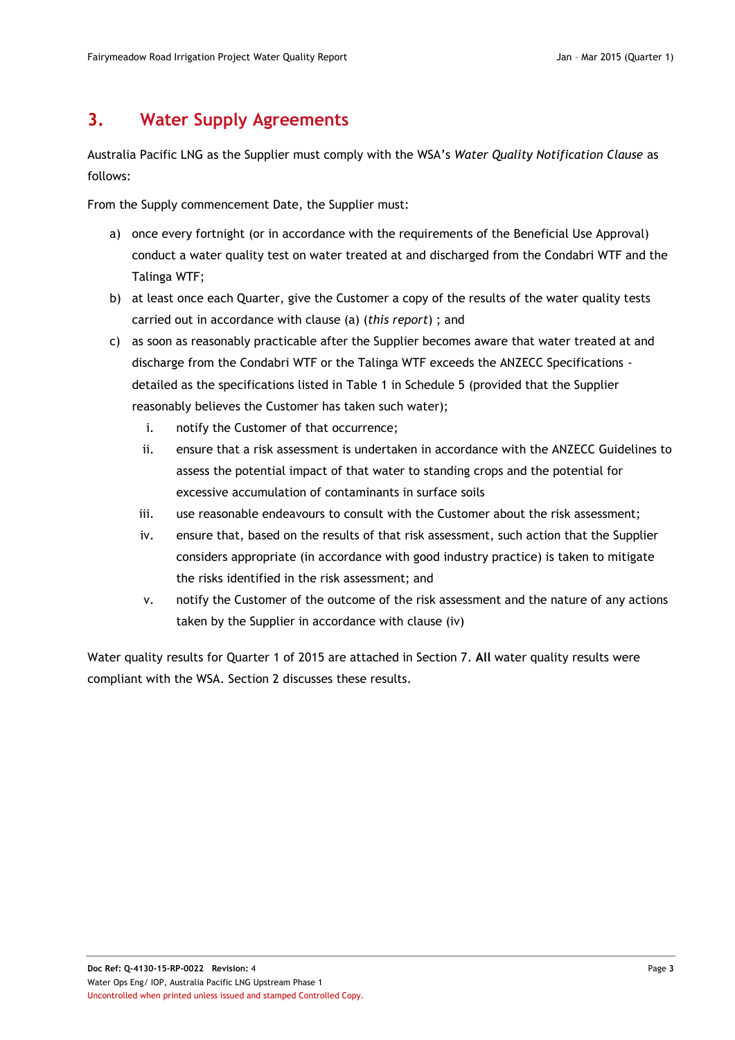## <span id="page-6-0"></span>**3. Water Supply Agreements**

Australia Pacific LNG as the Supplier must comply with the WSA's *Water Quality Notification Clause* as follows:

From the Supply commencement Date, the Supplier must:

- a) once every fortnight (or in accordance with the requirements of the Beneficial Use Approval) conduct a water quality test on water treated at and discharged from the Condabri WTF and the Talinga WTF;
- b) at least once each Quarter, give the Customer a copy of the results of the water quality tests carried out in accordance with clause (a) (*this report*) ; and
- c) as soon as reasonably practicable after the Supplier becomes aware that water treated at and discharge from the Condabri WTF or the Talinga WTF exceeds the ANZECC Specifications detailed as the specifications listed in Table 1 in Schedule 5 (provided that the Supplier reasonably believes the Customer has taken such water);
	- i. notify the Customer of that occurrence;
	- ii. ensure that a risk assessment is undertaken in accordance with the ANZECC Guidelines to assess the potential impact of that water to standing crops and the potential for excessive accumulation of contaminants in surface soils
	- iii. use reasonable endeavours to consult with the Customer about the risk assessment;
	- iv. ensure that, based on the results of that risk assessment, such action that the Supplier considers appropriate (in accordance with good industry practice) is taken to mitigate the risks identified in the risk assessment; and
	- v. notify the Customer of the outcome of the risk assessment and the nature of any actions taken by the Supplier in accordance with clause (iv)

Water quality results for Quarter 1 of 2015 are attached in Section 7. **All** water quality results were compliant with the WSA. Section [2](#page-5-0) discusses these results.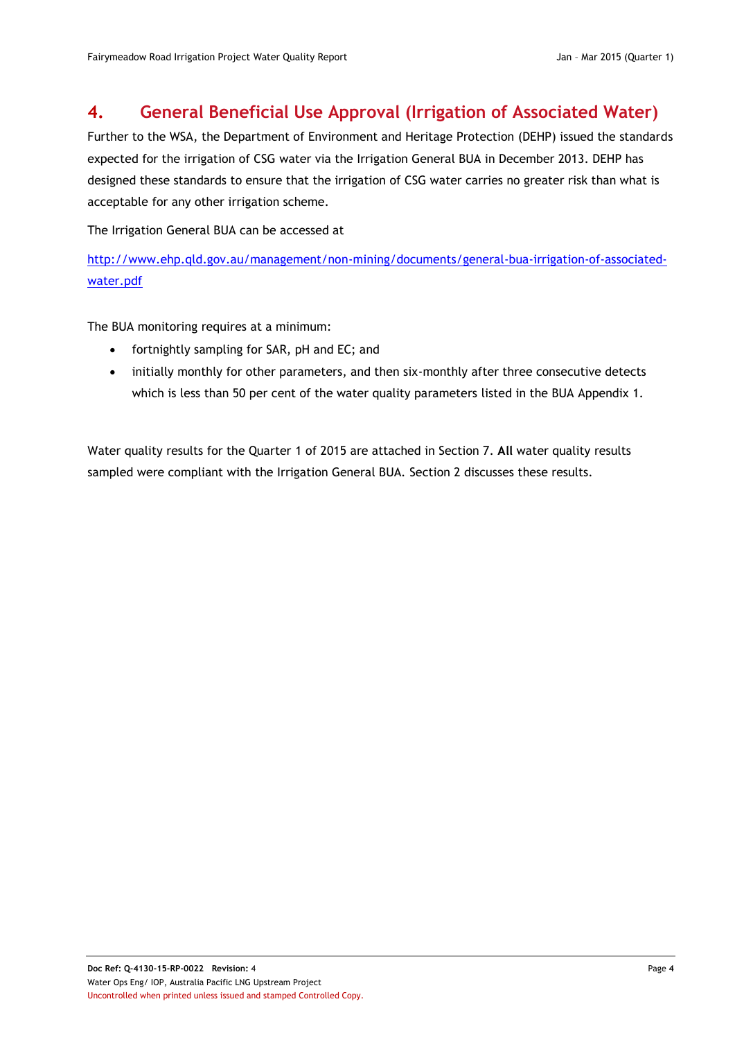## <span id="page-7-0"></span>**4. General Beneficial Use Approval (Irrigation of Associated Water)**

Further to the WSA, the Department of Environment and Heritage Protection (DEHP) issued the standards expected for the irrigation of CSG water via the Irrigation General BUA in December 2013. DEHP has designed these standards to ensure that the irrigation of CSG water carries no greater risk than what is acceptable for any other irrigation scheme.

The Irrigation General BUA can be accessed at

[http://www.ehp.qld.gov.au/management/non-mining/documents/general-bua-irrigation-of-associated](http://www.ehp.qld.gov.au/management/non-mining/documents/general-bua-irrigation-of-associated-water.pdf)[water.pdf](http://www.ehp.qld.gov.au/management/non-mining/documents/general-bua-irrigation-of-associated-water.pdf)

The BUA monitoring requires at a minimum:

- fortnightly sampling for SAR, pH and EC; and
- initially monthly for other parameters, and then six-monthly after three consecutive detects which is less than 50 per cent of the water quality parameters listed in the BUA Appendix 1.

Water quality results for the Quarter 1 of 2015 are attached in Section 7. **All** water quality results sampled were compliant with the Irrigation General BUA. Section [2](#page-5-0) discusses these results.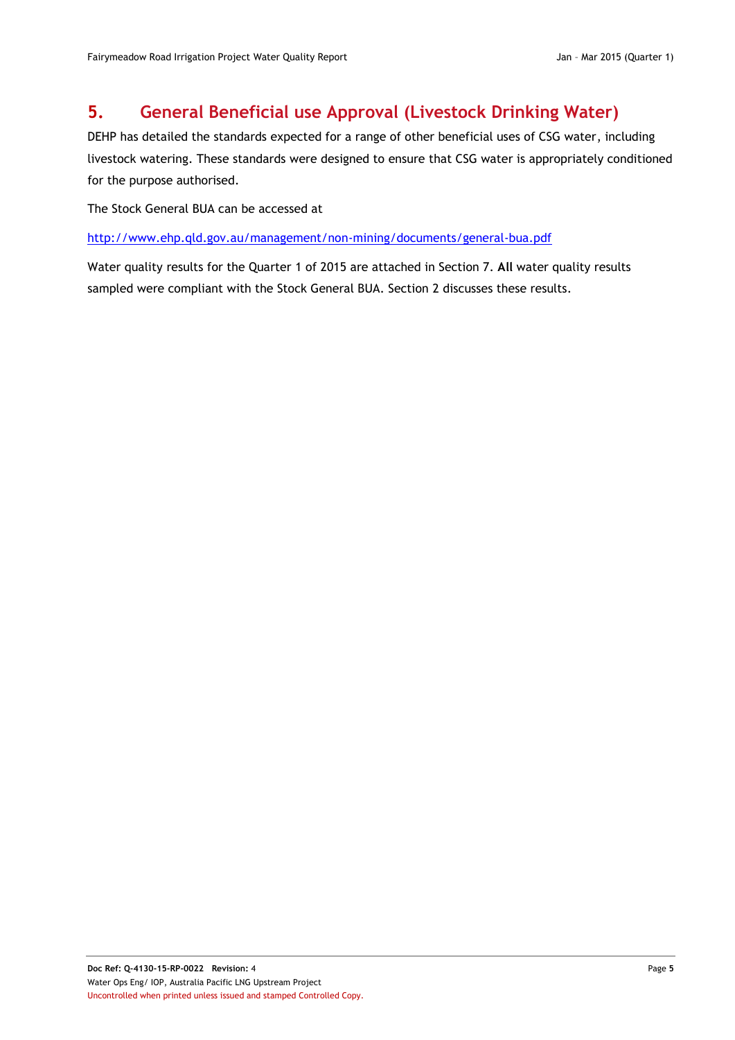# <span id="page-8-0"></span>**5. General Beneficial use Approval (Livestock Drinking Water)**

DEHP has detailed the standards expected for a range of other beneficial uses of CSG water, including livestock watering. These standards were designed to ensure that CSG water is appropriately conditioned for the purpose authorised.

The Stock General BUA can be accessed at

<http://www.ehp.qld.gov.au/management/non-mining/documents/general-bua.pdf>

Water quality results for the Quarter 1 of 2015 are attached in Section 7. **All** water quality results sampled were compliant with the Stock General BUA. Section [2](#page-5-0) discusses these results.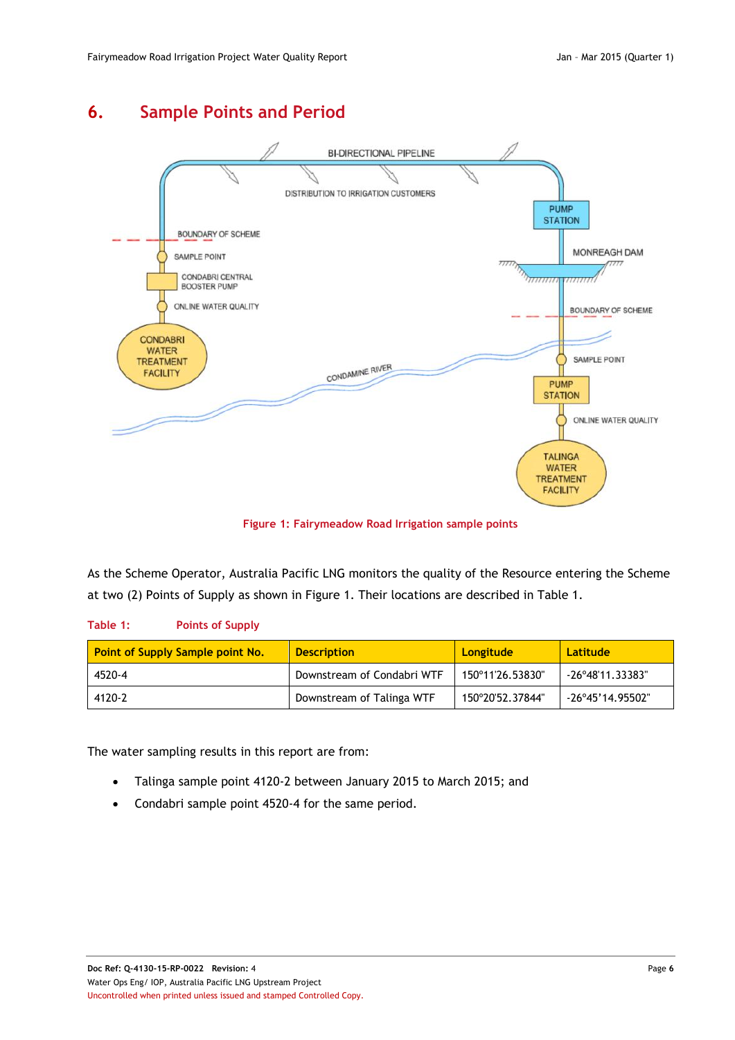# <span id="page-9-0"></span>**6. Sample Points and Period**



**Figure 1: Fairymeadow Road Irrigation sample points**

<span id="page-9-2"></span>As the Scheme Operator, Australia Pacific LNG monitors the quality of the Resource entering the Scheme at two (2) Points of Supply as shown in [Figure 1.](#page-9-2) Their locations are described in [Table 1.](#page-9-1)

#### <span id="page-9-1"></span>**Table 1: Points of Supply**

| Point of Supply Sample point No. | <b>Description</b>         | <b>Longitude</b> | Latitude                  |  |  |
|----------------------------------|----------------------------|------------------|---------------------------|--|--|
| 4520-4                           | Downstream of Condabri WTF | 150°11'26.53830" | -26°48'11.33383"          |  |  |
| 4120-2                           | Downstream of Talinga WTF  | 150°20'52.37844" | $-26^{\circ}45'14.95502"$ |  |  |

The water sampling results in this report are from:

- Talinga sample point 4120-2 between January 2015 to March 2015; and
- Condabri sample point 4520-4 for the same period.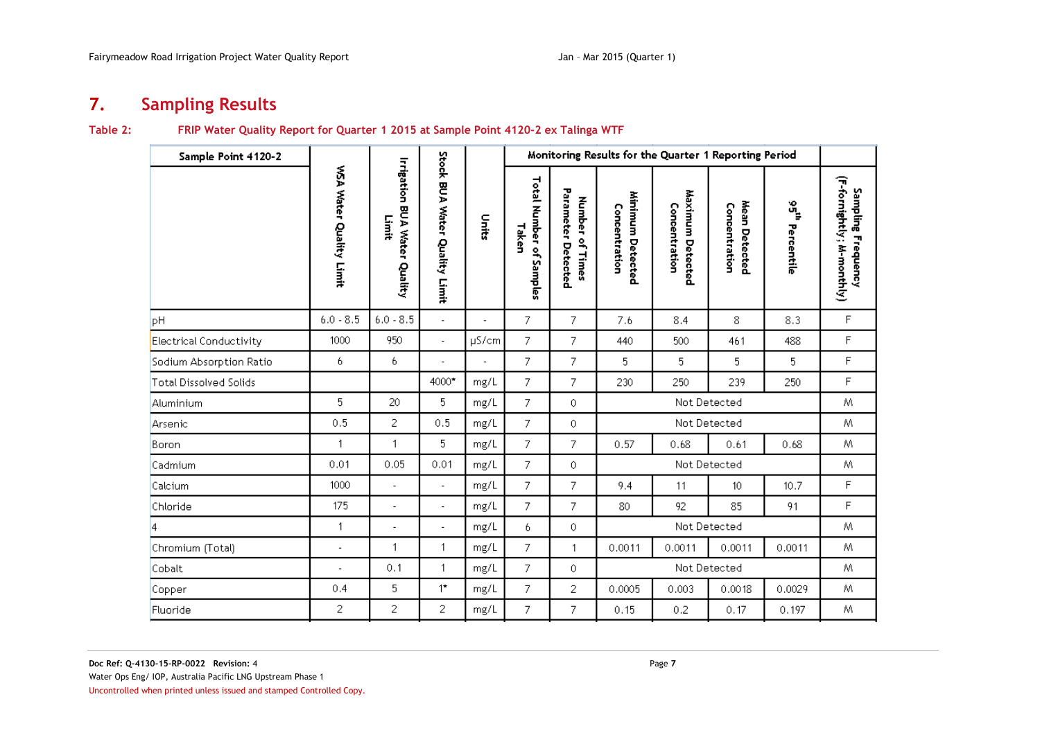# **7. Sampling Results**

#### **Table 2: FRIP Water Quality Report for Quarter 1 2015 at Sample Point 4120-2 ex Talinga WTF**

<span id="page-10-1"></span><span id="page-10-0"></span>

| Sample Point 4120-2     |                         |                                              |                               |                | Monitoring Results for the Quarter 1 Reporting Period |                                          |                                      |                                   |                                |                                             |                                                 |
|-------------------------|-------------------------|----------------------------------------------|-------------------------------|----------------|-------------------------------------------------------|------------------------------------------|--------------------------------------|-----------------------------------|--------------------------------|---------------------------------------------|-------------------------------------------------|
|                         | WSA Water Quality Limit | <b>Irrigation BUA Water Quality</b><br>Limit | Stock BUA Water Quality Limit | nits           | Total Number of<br>Taken<br>Samples                   | Parameter<br>Number of Times<br>Detected | Minimum Detected<br>Concentration    | Maximum Detected<br>Concentration | Mean Detected<br>Concentration | $\mathfrak{s}^{\mathfrak{c}}$<br>Percentile | (F-fornightly; M-monthly)<br>Sampling Frequency |
| pH                      | $6.0 - 8.5$             | $6.0 - 8.5$                                  | $\blacksquare$                | ä,             | 7                                                     | 7                                        | 7.6                                  | 8.4                               | 8                              | 8.3                                         | F                                               |
| Electrical Conductivity | 1000                    | 950                                          | $\overline{\phantom{a}}$      | $\mu$ S/cm     | 7                                                     | 7                                        | 440                                  | 500                               | 461                            | 488                                         | F                                               |
| Sodium Absorption Ratio | 6.                      | 6                                            | $\overline{\phantom{a}}$      | $\overline{a}$ | $\overline{7}$                                        | 7                                        | 5                                    | 5                                 | 5                              | 5                                           | F                                               |
| Total Dissolved Solids  |                         |                                              | 4000*                         | mg/L           | 7.                                                    | 7                                        | 230                                  | 250                               | 239                            | 250                                         | F                                               |
| Aluminium               | 5                       | 20                                           | 5                             | mg/L           | 7.                                                    | 0                                        | Not Detected                         |                                   |                                | Μ                                           |                                                 |
| Arsenic                 | 0.5                     | 2                                            | 0.5                           | mg/L           | 7.                                                    | 0                                        |                                      | Not Detected                      |                                |                                             | Μ                                               |
| Boron                   | $\mathbf{1}$            | $\mathbf{1}$                                 | 5                             | mg/L           | 7.                                                    | 7                                        | 0.57                                 | 0.68                              | 0.61                           | 0.68                                        | M                                               |
| Cadmium                 | 0.01                    | 0.05                                         | 0.01                          | mg/L           | 7                                                     | 0                                        |                                      | Not Detected                      |                                |                                             | Μ                                               |
| Calcium                 | 1000                    | $\overline{a}$                               | $\blacksquare$                | mg/L           | 7.                                                    | 7                                        | 9.4                                  | 11                                | 10                             | 10.7                                        | F                                               |
| Chloride                | 175                     | ÷,                                           | $\overline{\phantom{a}}$      | mg/L           | 7.                                                    | 7                                        | 80                                   | 92                                | 85                             | 91                                          | F                                               |
| 4                       | $\mathbf{1}$            | L,                                           | $\overline{\phantom{a}}$      | mg/L           | 6.                                                    | 0                                        | Not Detected                         |                                   |                                | M.                                          |                                                 |
| Chromium (Total)        | Ĭ.                      | $\mathbf{1}$                                 | $\mathbf{1}$                  | mg/L           | 7                                                     | $\overline{1}$                           | 0.0011<br>0.0011<br>0.0011<br>0.0011 |                                   |                                | M                                           |                                                 |
| Cobalt                  | $\overline{a}$          | 0,1                                          | $\mathbf{1}$                  | mg/L           | 7                                                     | 0                                        | Not Detected                         |                                   |                                | M.                                          |                                                 |
| Copper                  | 0.4                     | 5                                            | $1^{\star}$                   | mg/L           | 7                                                     | 2                                        | 0.0005                               | 0.003                             | 0.0018                         | 0.0029                                      | M.                                              |
| Fluoride                | 2                       | 2                                            | 2                             | mg/L           | 7.                                                    | 7.                                       | 0.15                                 | 0.2                               | 0.17                           | 0.197                                       | Μ                                               |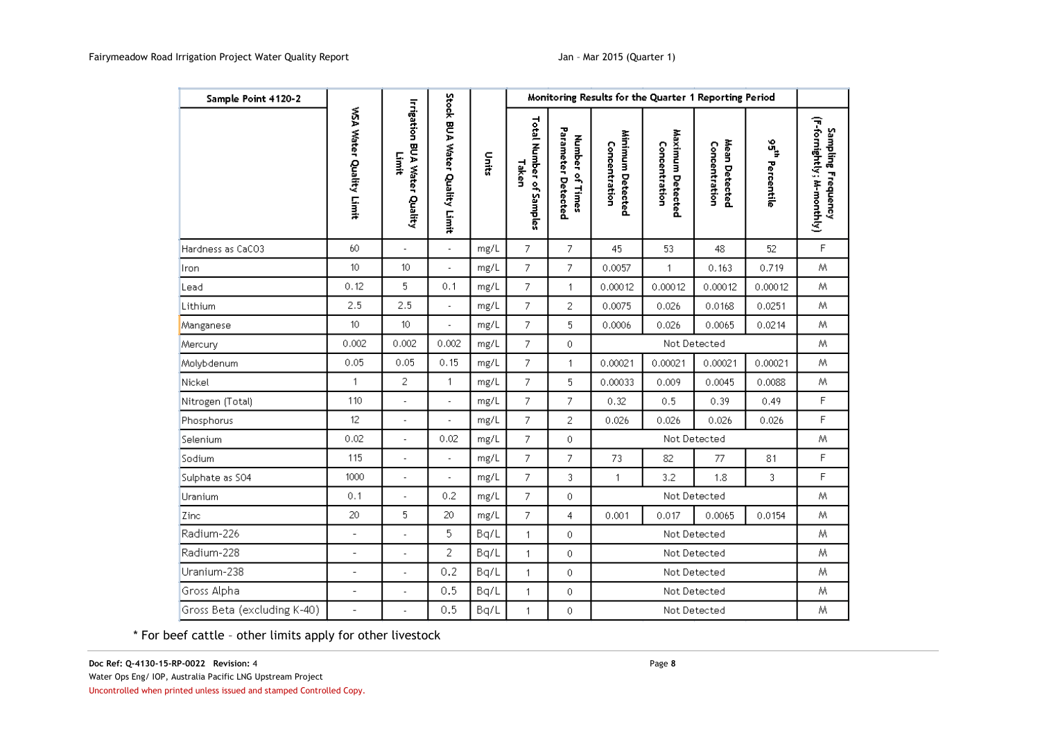| Sample Point 4120-2         |                         |                                              |                               |       |                                  |                                       | Monitoring Results for the Quarter 1 Reporting Period |                                   |                                |                                         |                                                  |
|-----------------------------|-------------------------|----------------------------------------------|-------------------------------|-------|----------------------------------|---------------------------------------|-------------------------------------------------------|-----------------------------------|--------------------------------|-----------------------------------------|--------------------------------------------------|
|                             | WSA Water Quality Limit | <b>Irrigation BUA Water Quality</b><br>Limit | Stock BUA Water Quality Limit | Units | Total Number of Samples<br>Taken | Parameter Detected<br>Number of Times | Minimum Detected<br>Concentration                     | Maximum Detected<br>Concentration | Mean Detected<br>Concentration | $\mathbf{g}^{\mathbf{c}}$<br>Percentile | (F-fornightly; zh-monthly)<br>Sampling Frequency |
| Hardness as CaCO3           | 60                      | ÷,                                           | $\blacksquare$                | mg/L  | 7.                               | 7                                     | 45                                                    | 53                                | 48                             | 52                                      | $\mathsf F$                                      |
| Iron                        | 10                      | 10                                           |                               | mg/L  | 7                                | 7                                     | 0.0057                                                | 1                                 | 0.163                          | 0.719                                   | Μ                                                |
| Lead                        | 0.12                    | 5                                            | 0.1                           | mg/L  | $\overline{7}$                   | $\mathbf{1}$                          | 0.00012                                               | 0.00012                           | 0.00012                        | 0.00012                                 | M                                                |
| Lithium                     | 2.5                     | 2.5                                          | $\overline{\phantom{a}}$      | mg/L  | 7                                | 2                                     | 0.0075                                                | 0.026                             | 0.0168                         | 0.0251                                  | M.                                               |
| Manganese                   | 10                      | 10                                           |                               | mg/L  | 7                                | 5                                     | 0.0006                                                | 0.026                             | 0.0065                         | 0.0214                                  | Μ                                                |
| Mercury                     | 0.002                   | 0.002                                        | 0.002                         | mg/L  | $\overline{7}$                   | 0                                     | Not Detected                                          |                                   |                                |                                         | M                                                |
| Molybdenum                  | 0.05                    | 0.05                                         | 0.15                          | mg/L  | 7                                | $\mathbf{1}$                          | 0.00021                                               | 0.00021                           | 0.00021                        | 0.00021                                 | M                                                |
| Nickel                      | $\mathbf{1}$            | 2                                            | 1                             | mg/L  | 7                                | 5                                     | 0.00033                                               | 0.009                             | 0.0045                         | 0.0088                                  | W.                                               |
| Nitrogen (Total)            | 110                     | ÷                                            | $\overline{a}$                | mg/L  | 7                                | 7                                     | 0.32                                                  | 0.5                               | 0.39                           | 0.49                                    | F                                                |
| Phosphorus                  | 12                      | ÷,                                           | ÷,                            | mg/L  | $\overline{7}$                   | 2                                     | 0.026                                                 | 0.026                             | 0.026                          | 0.026                                   | F                                                |
| Selenium                    | 0.02                    |                                              | 0.02                          | mg/L  | 7                                | 0                                     |                                                       |                                   | Not Detected                   |                                         | Μ                                                |
| Sodium                      | 115                     | ÷,                                           | L                             | mg/L  | 7                                | 7                                     | 73                                                    | 82                                | 77                             | 81                                      | $\mathsf F$                                      |
| Sulphate as SO4             | 1000                    | $\overline{\phantom{a}}$                     | $\overline{a}$                | mg/L  | $\overline{7}$                   | 3                                     | $\mathbf{1}$                                          | 3.2                               | 1.8                            | 3                                       | F                                                |
| Uranium                     | 0.1                     |                                              | 0.2                           | mg/L  | 7.                               | 0                                     | Not Detected                                          |                                   |                                | M                                       |                                                  |
| Zinc                        | 20                      | 5                                            | 20                            | mg/L  | 7                                | $\overline{4}$                        | 0.001                                                 | 0.017                             | 0.0065                         | 0.0154                                  | M                                                |
| Radium-226                  | $\overline{a}$          | $\overline{\phantom{a}}$                     | 5                             | Bq/L  | $\mathbf{1}$                     | 0                                     | Not Detected                                          |                                   |                                |                                         | М                                                |
| Radium-228                  | $\overline{a}$          |                                              | 2                             | Bq/L  | 1                                | 0                                     | Not Detected                                          |                                   |                                | Μ                                       |                                                  |
| Uranium-238                 | $\overline{a}$          |                                              | 0.2                           | Bq/L  | $\mathbf{1}$                     | 0                                     |                                                       |                                   | Not Detected                   |                                         | М                                                |
| Gross Alpha                 | $\overline{a}$          | $\overline{\phantom{a}}$                     | 0.5                           | Bq/L  | $\mathbf{1}$                     | 0                                     |                                                       |                                   | Not Detected                   |                                         | М                                                |
| Gross Beta (excluding K-40) | $\overline{a}$          |                                              | 0.5                           | Bq/L  | 1                                | 0                                     |                                                       |                                   | Not Detected                   |                                         | Μ                                                |

\* For beef cattle – other limits apply for other livestock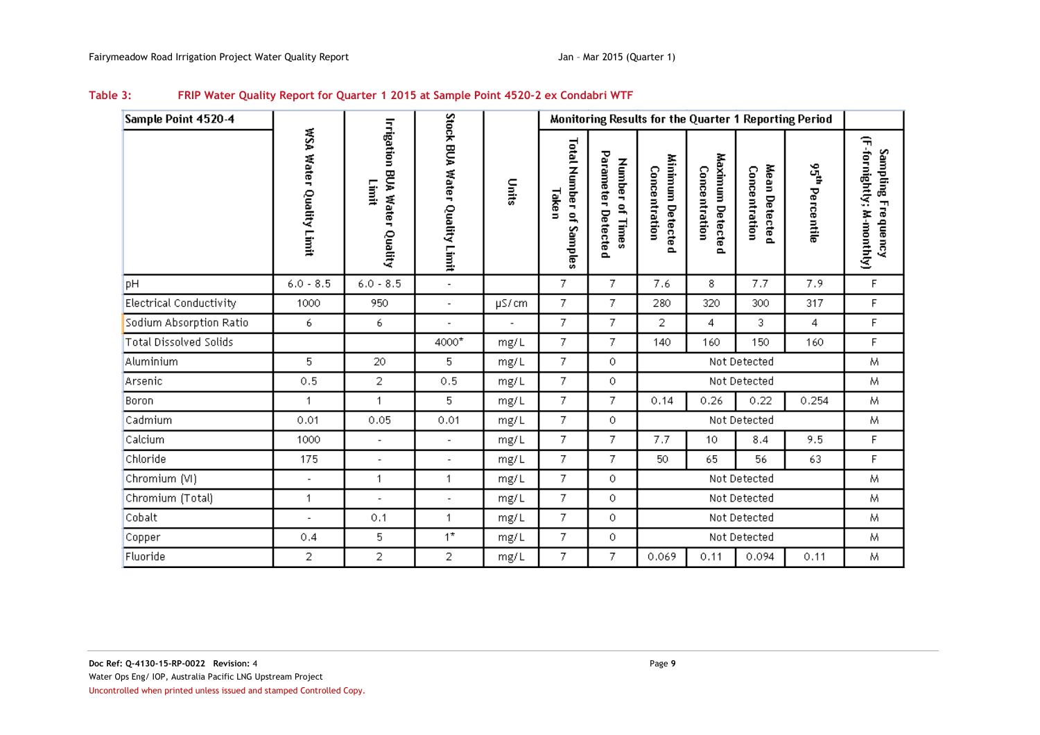<span id="page-12-0"></span>

| Sample Point 4520-4           |                          |                                              |                               |       |                                     |                                          |                                          |                                          |                                | Monitoring Results for the Quarter 1 Reporting Period |                                                      |
|-------------------------------|--------------------------|----------------------------------------------|-------------------------------|-------|-------------------------------------|------------------------------------------|------------------------------------------|------------------------------------------|--------------------------------|-------------------------------------------------------|------------------------------------------------------|
|                               | WSA Water Quality Limit  | <b>Irrigation BUA Water Quality</b><br>Limit | Stock BUA Water Quality Limit | Units | Total Number of<br>Taken<br>Samples | Parameter Detected<br>Number<br>of Times | Minimum Detected<br><b>Concentration</b> | Maximum Detected<br><b>Concentration</b> | Mean Detected<br>Concentration | 95 <sup>th</sup> Percentile                           | 숚<br>fornightly;<br>Sampling Frequency<br>M-monthly) |
| <b>DH</b>                     | $6.0 - 8.5$              | $6.0 - 8.5$                                  | $\overline{\phantom{a}}$      |       | 7                                   | 7.                                       | 7.6                                      | 8                                        | 7.7                            | 7.9                                                   | $\mathsf F$                                          |
| Electrical Conductivity       | 1000                     | 950                                          | $\overline{\phantom{a}}$      | µS/cm | 7                                   | 7.                                       | 280                                      | 320                                      | 300                            | 317                                                   | F                                                    |
| Sodium Absorption Ratio       | 6                        | 6                                            | ä,                            |       | 7                                   | 7.                                       | 2                                        | 4                                        | 3.                             | 4                                                     | F                                                    |
| <b>Total Dissolved Solids</b> |                          |                                              | 4000*                         | mg/L  | 7                                   | 7.                                       | 140                                      | 160                                      | 150                            | 160                                                   | F                                                    |
| Aluminium                     | 5                        | 20                                           | 5                             | mg/L  | 7                                   | 0                                        |                                          |                                          | Not Detected                   |                                                       | Μ                                                    |
| Arsenic                       | 0.5                      | 2                                            | 0.5                           | mg/L  | 7                                   | 0.                                       |                                          |                                          | Not Detected                   |                                                       | M                                                    |
| Boron                         | $\mathbf{1}$             | 1                                            | 5.                            | mg/L  | 7                                   | 7.                                       | 0.14                                     | 0.26                                     | 0.22                           | 0.254                                                 | М                                                    |
| Cadmium                       | 0.01                     | 0.05                                         | 0.01                          | mg/L  | 7                                   | 0.                                       |                                          |                                          | Not Detected                   |                                                       | М                                                    |
| Calcium                       | 1000                     | $\overline{\phantom{a}}$                     | ä,                            | mg/L  | 7                                   | 7                                        | 7.7                                      | 10                                       | 8.4                            | 9.5                                                   | F                                                    |
| Chloride                      | 175                      | $\overline{\phantom{a}}$                     | $\overline{a}$                | mg/L  | 7.                                  | 7.                                       | 50                                       | 65                                       | 56                             | 63                                                    | F                                                    |
| Chromium (VI)                 | $\overline{\phantom{a}}$ | 1.                                           | 1                             | mg/L  | 7                                   | 0                                        |                                          |                                          | Not Detected                   |                                                       | M                                                    |
| Chromium (Total)              | $\mathbf{1}$             | $\overline{a}$                               | L,                            | mg/L  | 7                                   | 0                                        |                                          |                                          | Not Detected                   |                                                       | M                                                    |
| Cobalt                        | $\overline{\phantom{a}}$ | 0.1                                          | 1                             | mg/L  | 7                                   | 0                                        |                                          |                                          | Not Detected                   |                                                       | M                                                    |
| Copper                        | 0.4                      | 5                                            | $1^*$                         | mg/L  | 7                                   | 0                                        |                                          |                                          | Not Detected                   |                                                       | M                                                    |
| Fluoride                      | 2                        | 2                                            | 2                             | mg/L  | 7                                   | 7.                                       | 0.069                                    | 0.11                                     | 0.094                          | 0.11                                                  | Μ                                                    |

#### **Table 3: FRIP Water Quality Report for Quarter 1 2015 at Sample Point 4520-2 ex Condabri WTF**